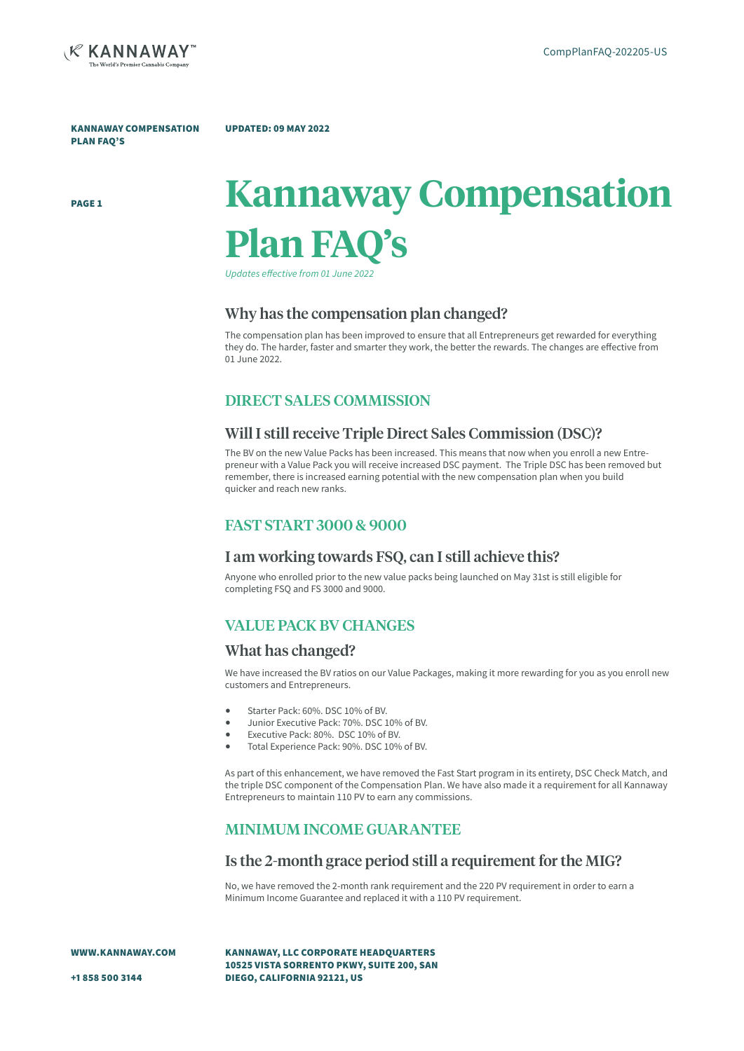

KANNAWAY COMPENSATION PLAN FAQ'S

#### UPDATED: 09 MAY 2022

PAGE 1

# **Kannaway Compensation Plan FAQ's**

*Updates effective from 01 June 2022*

#### Why has the compensation plan changed?

The compensation plan has been improved to ensure that all Entrepreneurs get rewarded for everything they do. The harder, faster and smarter they work, the better the rewards. The changes are effective from 01 June 2022.

## DIRECT SALES COMMISSION

### Will I still receive Triple Direct Sales Commission (DSC)?

The BV on the new Value Packs has been increased. This means that now when you enroll a new Entrepreneur with a Value Pack you will receive increased DSC payment. The Triple DSC has been removed but remember, there is increased earning potential with the new compensation plan when you build quicker and reach new ranks.

### FAST START 3000 & 9000

## I am working towards FSQ, can I still achieve this?

Anyone who enrolled prior to the new value packs being launched on May 31st is still eligible for completing FSQ and FS 3000 and 9000.

# VALUE PACK BV CHANGES

#### What has changed?

We have increased the BV ratios on our Value Packages, making it more rewarding for you as you enroll new customers and Entrepreneurs.

- Starter Pack: 60%. DSC 10% of BV.
- Junior Executive Pack: 70%. DSC 10% of BV.
- Executive Pack: 80%. DSC 10% of BV.
- Total Experience Pack: 90%. DSC 10% of BV.

As part of this enhancement, we have removed the Fast Start program in its entirety, DSC Check Match, and the triple DSC component of the Compensation Plan. We have also made it a requirement for all Kannaway Entrepreneurs to maintain 110 PV to earn any commissions.

# MINIMUM INCOME GUARANTEE

#### Is the 2-month grace period still a requirement for the MIG?

No, we have removed the 2-month rank requirement and the 220 PV requirement in order to earn a Minimum Income Guarantee and replaced it with a 110 PV requirement.

WWW.KANNAWAY.COM

KANNAWAY, LLC CORPORATE HEADQUARTERS 10525 VISTA SORRENTO PKWY, SUITE 200, SAN DIEGO, CALIFORNIA 92121, US

+1 858 500 3144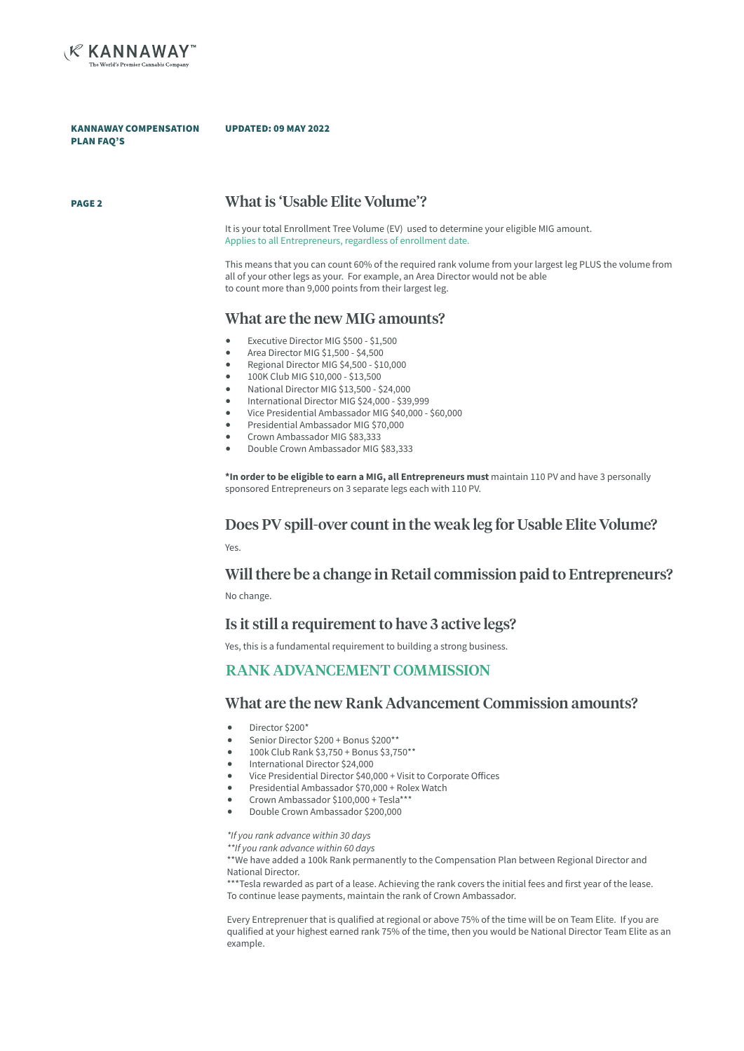

KANNAWAY COMPENSATION PLAN FAQ'S

#### UPDATED: 09 MAY 2022

## PAGE 2 What is 'Usable Elite Volume'?

It is your total Enrollment Tree Volume (EV) used to determine your eligible MIG amount. Applies to all Entrepreneurs, regardless of enrollment date.

This means that you can count 60% of the required rank volume from your largest leg PLUS the volume from all of your other legs as your. For example, an Area Director would not be able to count more than 9,000 points from their largest leg.

#### What are the new MIG amounts?

- Executive Director MIG \$500 \$1,500
- Area Director MIG \$1,500 \$4,500
- Regional Director MIG \$4,500 \$10,000
- 100K Club MIG \$10,000 \$13,500
- National Director MIG \$13,500 \$24,000
- International Director MIG \$24,000 \$39,999
- Vice Presidential Ambassador MIG \$40,000 \$60,000
- Presidential Ambassador MIG \$70,000
- Crown Ambassador MIG \$83,333
- Double Crown Ambassador MIG \$83,333

**\*In order to be eligible to earn a MIG, all Entrepreneurs must** maintain 110 PV and have 3 personally sponsored Entrepreneurs on 3 separate legs each with 110 PV.

#### Does PV spill-over count in the weak leg for Usable Elite Volume?

Yes.

#### Will there be a change in Retail commission paid to Entrepreneurs?

No change.

## Is it still a requirement to have 3 active legs?

Yes, this is a fundamental requirement to building a strong business.

# RANK ADVANCEMENT COMMISSION

#### What are the new Rank Advancement Commission amounts?

- Director \$200\*
- Senior Director  $$200 + B$ onus  $$200**$ <br>• 100k Club Rank \$3.750 + Bonus \$3.75
- 100k Club Rank \$3,750 + Bonus \$3,750\*\*
- International Director \$24,000
- Vice Presidential Director \$40,000 + Visit to Corporate Offices
- Presidential Ambassador \$70,000 + Rolex Watch
- Crown Ambassador \$100,000 + Tesla\*\*\*
- Double Crown Ambassador \$200,000

*\*If you rank advance within 30 days*

*\*\*If you rank advance within 60 days*

\*\*We have added a 100k Rank permanently to the Compensation Plan between Regional Director and National Director.

\*\*\*Tesla rewarded as part of a lease. Achieving the rank covers the initial fees and first year of the lease. To continue lease payments, maintain the rank of Crown Ambassador.

Every Entreprenuer that is qualified at regional or above 75% of the time will be on Team Elite. If you are qualified at your highest earned rank 75% of the time, then you would be National Director Team Elite as an example.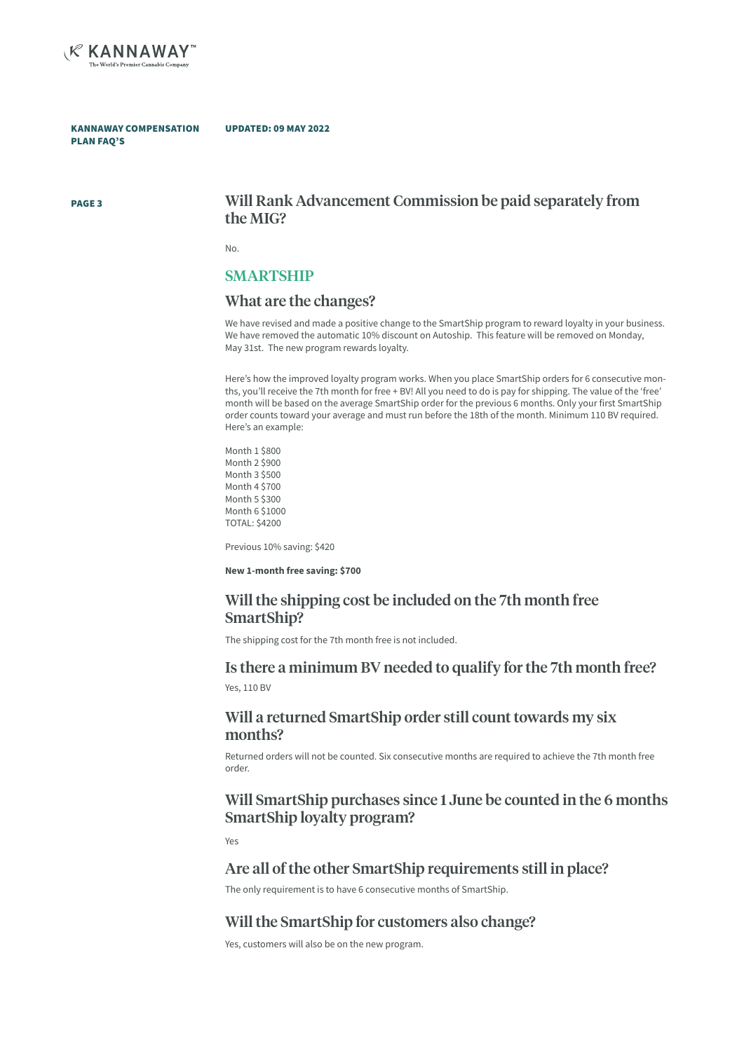

KANNAWAY COMPENSATION PLAN FAQ'S

#### UPDATED: 09 MAY 2022

PAGE 3

## Will Rank Advancement Commission be paid separately from the MIG?

No.

### SMARTSHIP

#### What are the changes?

We have revised and made a positive change to the SmartShip program to reward loyalty in your business. We have removed the automatic 10% discount on Autoship. This feature will be removed on Monday, May 31st. The new program rewards loyalty.

Here's how the improved loyalty program works. When you place SmartShip orders for 6 consecutive months, you'll receive the 7th month for free + BV! All you need to do is pay for shipping. The value of the 'free' month will be based on the average SmartShip order for the previous 6 months. Only your first SmartShip order counts toward your average and must run before the 18th of the month. Minimum 110 BV required. Here's an example:

Month 1 \$800 Month 2 \$900 Month 3 \$500 Month 4 \$700 Month 5 \$300 Month 6 \$1000 TOTAL: \$4200

Previous 10% saving: \$420

**New 1-month free saving: \$700**

## Will the shipping cost be included on the 7th month free SmartShip?

The shipping cost for the 7th month free is not included.

# Is there a minimum BV needed to qualify for the 7th month free?

Yes, 110 BV

## Will a returned SmartShip order still count towards my six months?

Returned orders will not be counted. Six consecutive months are required to achieve the 7th month free order.

## Will SmartShip purchases since 1 June be counted in the 6 months SmartShip loyalty program?

Yes

#### Are all of the other SmartShip requirements still in place?

The only requirement is to have 6 consecutive months of SmartShip.

## Will the SmartShip for customers also change?

Yes, customers will also be on the new program.